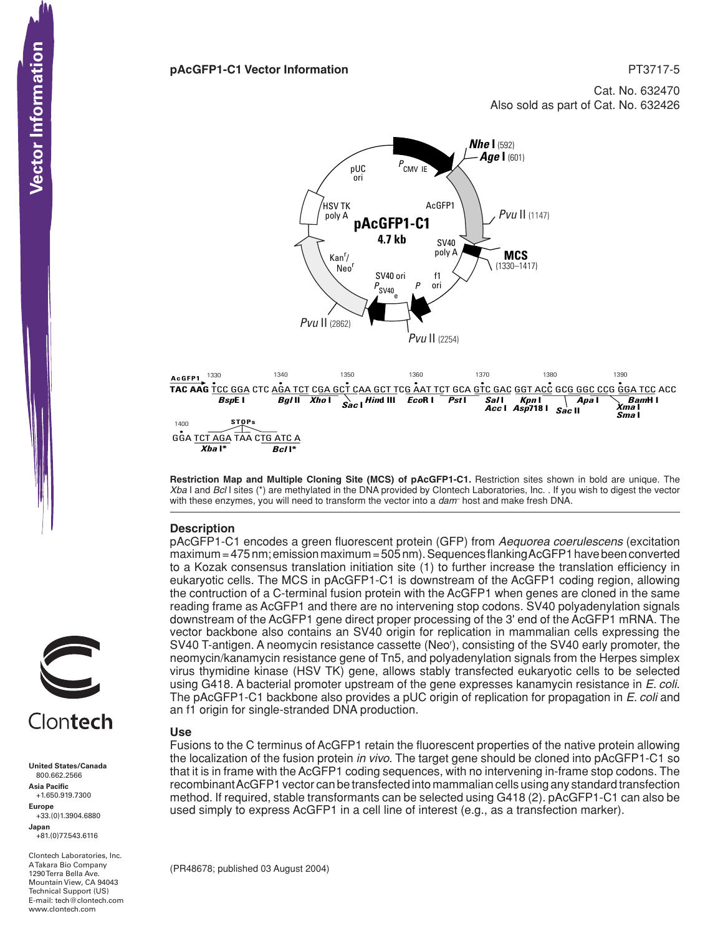Cat. No. 632470

Also sold as part of Cat. No. 632426



**Restriction Map and Multiple Cloning Site (MCS) of pAcGFP1-C1.** Restriction sites shown in bold are unique. The *Xba* I and *Bcl* I sites (\*) are methylated in the DNA provided by Clontech Laboratories, Inc. . If you wish to digest the vector with these enzymes, you will need to transform the vector into a *dam–* host and make fresh DNA.

## **Description**

pAcGFP1-C1 encodes a green fluorescent protein (GFP) from *Aequorea coerulescens* (excitation maximum = 475 nm; emission maximum = 505 nm). Sequences flanking AcGFP1 have been converted to a Kozak consensus translation initiation site (1) to further increase the translation efficiency in eukaryotic cells. The MCS in pAcGFP1-C1 is downstream of the AcGFP1 coding region, allowing the contruction of a C-terminal fusion protein with the AcGFP1 when genes are cloned in the same reading frame as AcGFP1 and there are no intervening stop codons. SV40 polyadenylation signals downstream of the AcGFP1 gene direct proper processing of the 3' end of the AcGFP1 mRNA. The vector backbone also contains an SV40 origin for replication in mammalian cells expressing the SV40 T-antigen. A neomycin resistance cassette (Neo'), consisting of the SV40 early promoter, the neomycin/kanamycin resistance gene of Tn5, and polyadenylation signals from the Herpes simplex virus thymidine kinase (HSV TK) gene, allows stably transfected eukaryotic cells to be selected using G418. A bacterial promoter upstream of the gene expresses kanamycin resistance in *E. coli*. The pAcGFP1-C1 backbone also provides a pUC origin of replication for propagation in *E. coli* and an f1 origin for single-stranded DNA production.

## **Use**

Fusions to the C terminus of AcGFP1 retain the fluorescent properties of the native protein allowing the localization of the fusion protein *in vivo*. The target gene should be cloned into pAcGFP1-C1 so that it is in frame with the AcGFP1 coding sequences, with no intervening in-frame stop codons. The recombinant AcGFP1 vector can be transfected into mammalian cells using any standard transfection method. If required, stable transformants can be selected using G418 (2). pAcGFP1-C1 can also be used simply to express AcGFP1 in a cell line of interest (e.g., as a transfection marker).

(PR48678; published 03 August 2004)

Vector Information

# Clontech

**United States/Canada** 800.662.2566 **Asia Pacific** +1.650.919.7300 **Europe** +33.(0)1.3904.6880 **Japan** +81.(0)77.543.6116 **CONTECTS**<br>
United States/Cana<br>
800.662.2566<br>
Asia Pacific<br>
+1.650.919.7300<br>
Happe Europe<br>
+33.(0)1.3904.688<br>
Japan<br>
-81.(0)77.543.6116<br>
A Takara Bio Compa<br>
Mountain View, CA<br>
Hechnical Support (<br>
Hechnical Support (<br>
Hech

Clontech Laboratories, Inc. A Takara Bio Company 1290 Terra Bella Ave. Mountain View, CA 94043 Technical Support (US) E-mail: tech@clontech.com<br>www.clontech.com